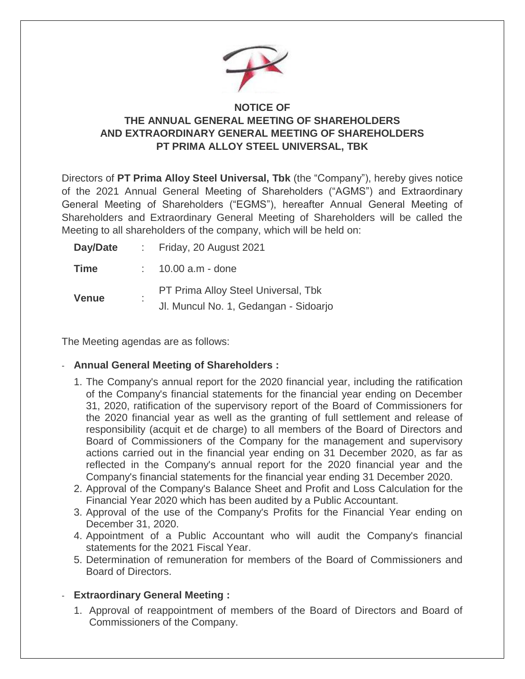

## **NOTICE OF THE ANNUAL GENERAL MEETING OF SHAREHOLDERS AND EXTRAORDINARY GENERAL MEETING OF SHAREHOLDERS PT PRIMA ALLOY STEEL UNIVERSAL, TBK**

Directors of **PT Prima Alloy Steel Universal, Tbk** (the "Company"), hereby gives notice of the 2021 Annual General Meeting of Shareholders ("AGMS") and Extraordinary General Meeting of Shareholders ("EGMS"), hereafter Annual General Meeting of Shareholders and Extraordinary General Meeting of Shareholders will be called the Meeting to all shareholders of the company, which will be held on:

| Day/Date     |   | : Friday, 20 August 2021                                                     |
|--------------|---|------------------------------------------------------------------------------|
| <b>Time</b>  |   | 10.00 a.m - done                                                             |
| <b>Venue</b> | ٠ | PT Prima Alloy Steel Universal, Tbk<br>Jl. Muncul No. 1, Gedangan - Sidoarjo |

The Meeting agendas are as follows:

## - **Annual General Meeting of Shareholders :**

- 1. The Company's annual report for the 2020 financial year, including the ratification of the Company's financial statements for the financial year ending on December 31, 2020, ratification of the supervisory report of the Board of Commissioners for the 2020 financial year as well as the granting of full settlement and release of responsibility (acquit et de charge) to all members of the Board of Directors and Board of Commissioners of the Company for the management and supervisory actions carried out in the financial year ending on 31 December 2020, as far as reflected in the Company's annual report for the 2020 financial year and the Company's financial statements for the financial year ending 31 December 2020.
- 2. Approval of the Company's Balance Sheet and Profit and Loss Calculation for the Financial Year 2020 which has been audited by a Public Accountant.
- 3. Approval of the use of the Company's Profits for the Financial Year ending on December 31, 2020.
- 4. Appointment of a Public Accountant who will audit the Company's financial statements for the 2021 Fiscal Year.
- 5. Determination of remuneration for members of the Board of Commissioners and Board of Directors.

## - **Extraordinary General Meeting :**

1. Approval of reappointment of members of the Board of Directors and Board of Commissioners of the Company.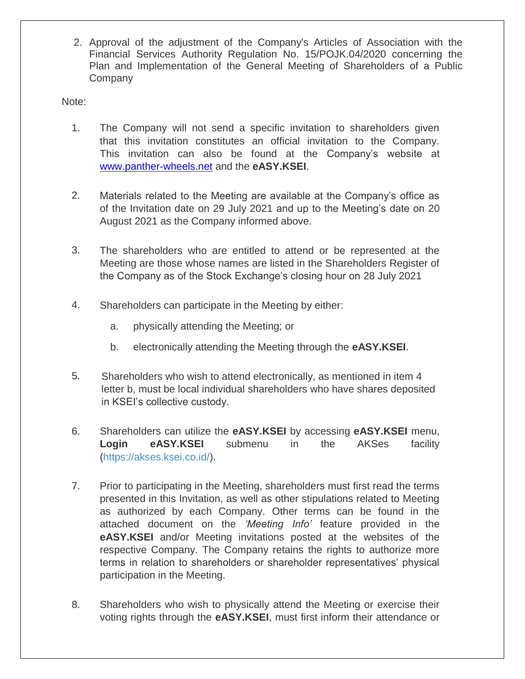2. Approval of the adjustment of the Company's Articles of Association with the Financial Services Authority Regulation No. 15/POJK.04/2020 concerning the Plan and Implementation of the General Meeting of Shareholders of a Public Company

Note:

- 1. The Company will not send a specific invitation to shareholders given that this invitation constitutes an official invitation to the Company. This invitation can also be found at the Company's website at <www.panther-wheels.net> and the **eASY.KSEI**.
- 2. Materials related to the Meeting are available at the Company's office as of the Invitation date on 29 July 2021 and up to the Meeting's date on 20 August 2021 as the Company informed above.
- 3. The shareholders who are entitled to attend or be represented at the Meeting are those whose names are listed in the Shareholders Register of the Company as of the Stock Exchange's closing hour on 28 July 2021
- 4. Shareholders can participate in the Meeting by either:
	- a. physically attending the Meeting; or
	- b. electronically attending the Meeting through the **eASY.KSEI**.
- 5. Shareholders who wish to attend electronically, as mentioned in item 4 letter b, must be local individual shareholders who have shares deposited in KSEI's collective custody.
- 6. Shareholders can utilize the **eASY.KSEI** by accessing **eASY.KSEI** menu, **Login eASY.KSEI** submenu in the AKSes facility [\(https://akses.ksei.co.id/\)](about:blank).
- 7. Prior to participating in the Meeting, shareholders must first read the terms presented in this Invitation, as well as other stipulations related to Meeting as authorized by each Company. Other terms can be found in the attached document on the *'Meeting Info'* feature provided in the **eASY.KSEI** and/or Meeting invitations posted at the websites of the respective Company. The Company retains the rights to authorize more terms in relation to shareholders or shareholder representatives' physical participation in the Meeting.
- 8. Shareholders who wish to physically attend the Meeting or exercise their voting rights through the **eASY.KSEI**, must first inform their attendance or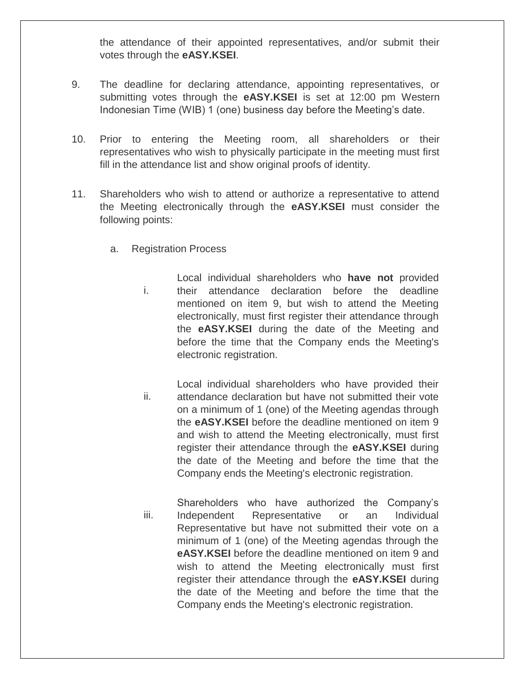the attendance of their appointed representatives, and/or submit their votes through the **eASY.KSEI**.

- 9. The deadline for declaring attendance, appointing representatives, or submitting votes through the **eASY.KSEI** is set at 12:00 pm Western Indonesian Time (WIB) 1 (one) business day before the Meeting's date.
- 10. Prior to entering the Meeting room, all shareholders or their representatives who wish to physically participate in the meeting must first fill in the attendance list and show original proofs of identity.
- 11. Shareholders who wish to attend or authorize a representative to attend the Meeting electronically through the **eASY.KSEI** must consider the following points:
	- a. Registration Process
		- i. Local individual shareholders who **have not** provided their attendance declaration before the deadline mentioned on item 9, but wish to attend the Meeting electronically, must first register their attendance through the **eASY.KSEI** during the date of the Meeting and before the time that the Company ends the Meeting's electronic registration.
		- ii. Local individual shareholders who have provided their attendance declaration but have not submitted their vote on a minimum of 1 (one) of the Meeting agendas through the **eASY.KSEI** before the deadline mentioned on item 9 and wish to attend the Meeting electronically, must first register their attendance through the **eASY.KSEI** during the date of the Meeting and before the time that the Company ends the Meeting's electronic registration.
		- iii. Shareholders who have authorized the Company's Independent Representative or an Individual Representative but have not submitted their vote on a minimum of 1 (one) of the Meeting agendas through the **eASY.KSEI** before the deadline mentioned on item 9 and wish to attend the Meeting electronically must first register their attendance through the **eASY.KSEI** during the date of the Meeting and before the time that the Company ends the Meeting's electronic registration.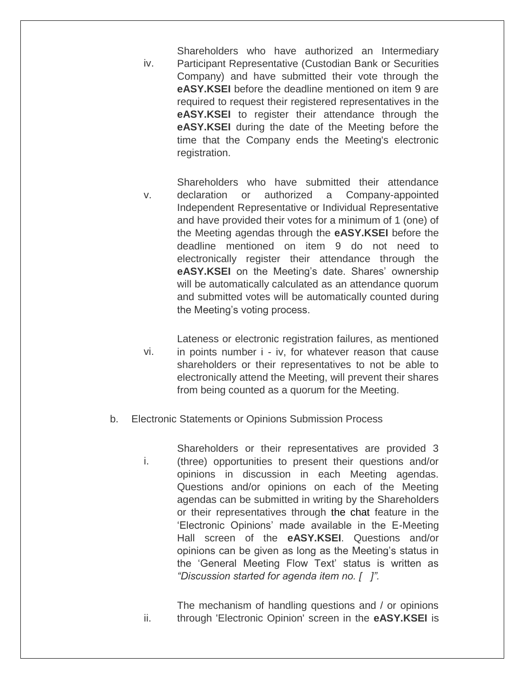iv. Shareholders who have authorized an Intermediary Participant Representative (Custodian Bank or Securities Company) and have submitted their vote through the **eASY.KSEI** before the deadline mentioned on item 9 are required to request their registered representatives in the **eASY.KSEI** to register their attendance through the **eASY.KSEI** during the date of the Meeting before the time that the Company ends the Meeting's electronic registration.

- v. Shareholders who have submitted their attendance declaration or authorized a Company-appointed Independent Representative or Individual Representative and have provided their votes for a minimum of 1 (one) of the Meeting agendas through the **eASY.KSEI** before the deadline mentioned on item 9 do not need to electronically register their attendance through the **eASY.KSEI** on the Meeting's date. Shares' ownership will be automatically calculated as an attendance quorum and submitted votes will be automatically counted during the Meeting's voting process.
- vi. Lateness or electronic registration failures, as mentioned in points number i - iv, for whatever reason that cause shareholders or their representatives to not be able to electronically attend the Meeting, will prevent their shares from being counted as a quorum for the Meeting.
- b. Electronic Statements or Opinions Submission Process
	- i. Shareholders or their representatives are provided 3 (three) opportunities to present their questions and/or opinions in discussion in each Meeting agendas. Questions and/or opinions on each of the Meeting agendas can be submitted in writing by the Shareholders or their representatives through [the chat](https://geekprank.com/chat-screenshot/) feature in the 'Electronic Opinions' made available in the E-Meeting Hall screen of the **eASY.KSEI**. Questions and/or opinions can be given as long as the Meeting's status in the 'General Meeting Flow Text' status is written as *"Discussion started for agenda item no. [ ]".*

ii. The mechanism of handling questions and / or opinions through 'Electronic Opinion' screen in the **eASY.KSEI** is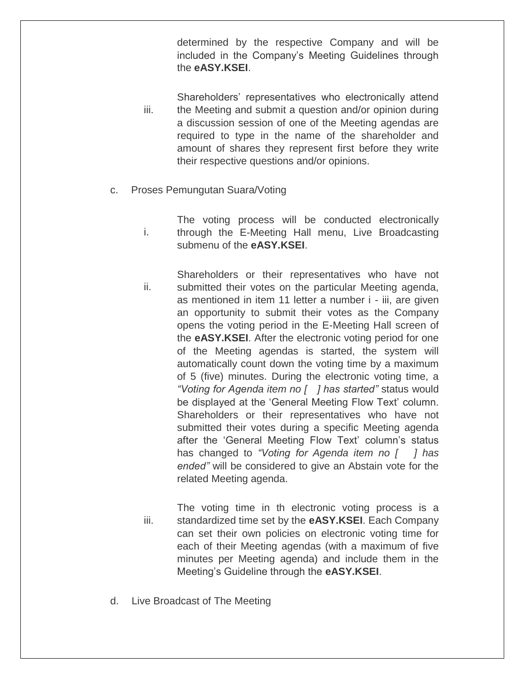determined by the respective Company and will be included in the Company's Meeting Guidelines through the **eASY.KSEI**.

- iii. Shareholders' representatives who electronically attend the Meeting and submit a question and/or opinion during a discussion session of one of the Meeting agendas are required to type in the name of the shareholder and amount of shares they represent first before they write their respective questions and/or opinions.
- c. Proses Pemungutan Suara/Voting
	- i. The voting process will be conducted electronically through the E-Meeting Hall menu, Live Broadcasting submenu of the **eASY.KSEI**.
	- ii. Shareholders or their representatives who have not submitted their votes on the particular Meeting agenda, as mentioned in item 11 letter a number i - iii, are given an opportunity to submit their votes as the Company opens the voting period in the E-Meeting Hall screen of the **eASY.KSEI**. After the electronic voting period for one of the Meeting agendas is started, the system will automatically count down the voting time by a maximum of 5 (five) minutes. During the electronic voting time, a *"Voting for Agenda item no [ ] has started"* status would be displayed at the 'General Meeting Flow Text' column. Shareholders or their representatives who have not submitted their votes during a specific Meeting agenda after the 'General Meeting Flow Text' column's status has changed to *"Voting for Agenda item no [ ] has ended"* will be considered to give an Abstain vote for the related Meeting agenda.
	- iii. The voting time in th electronic voting process is a standardized time set by the **eASY.KSEI**. Each Company can set their own policies on electronic voting time for each of their Meeting agendas (with a maximum of five minutes per Meeting agenda) and include them in the Meeting's Guideline through the **eASY.KSEI**.
- d. Live Broadcast of The Meeting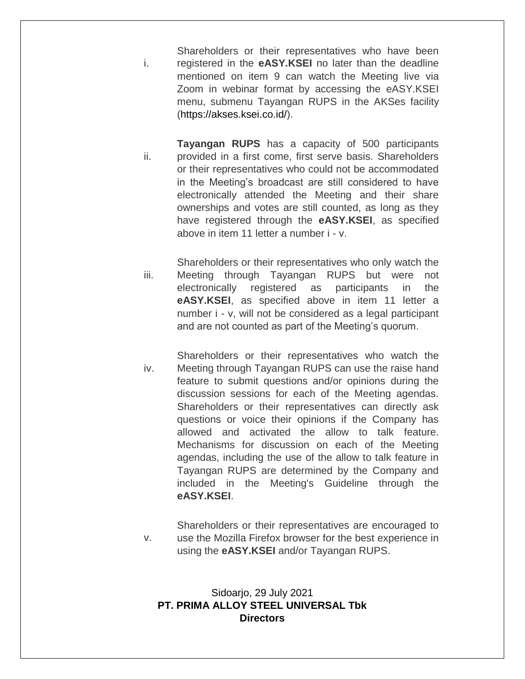i. Shareholders or their representatives who have been registered in the **eASY.KSEI** no later than the deadline mentioned on item 9 can watch the Meeting live via Zoom in webinar format by accessing the eASY.KSEI menu, submenu Tayangan RUPS in the AKSes facility [\(https://akses.ksei.co.id/\)](https://akses.ksei.co.id/).

ii. **Tayangan RUPS** has a capacity of 500 participants provided in a first come, first serve basis. Shareholders or their representatives who could not be accommodated in the Meeting's broadcast are still considered to have electronically attended the Meeting and their share ownerships and votes are still counted, as long as they have registered through the **eASY.KSEI**, as specified above in item 11 letter a number i - v.

iii. Shareholders or their representatives who only watch the Meeting through Tayangan RUPS but were not electronically registered as participants in the **eASY.KSEI**, as specified above in item 11 letter a number i - v, will not be considered as a legal participant and are not counted as part of the Meeting's quorum.

iv. Shareholders or their representatives who watch the Meeting through Tayangan RUPS can use the raise hand feature to submit questions and/or opinions during the discussion sessions for each of the Meeting agendas. Shareholders or their representatives can directly ask questions or voice their opinions if the Company has allowed and activated the allow to talk feature. Mechanisms for discussion on each of the Meeting agendas, including the use of the allow to talk feature in Tayangan RUPS are determined by the Company and included in the Meeting's Guideline through the **eASY.KSEI**.

v. Shareholders or their representatives are encouraged to use the Mozilla Firefox browser for the best experience in using the **eASY.KSEI** and/or Tayangan RUPS.

## Sidoarjo, 29 July 2021 **PT. PRIMA ALLOY STEEL UNIVERSAL Tbk Directors**